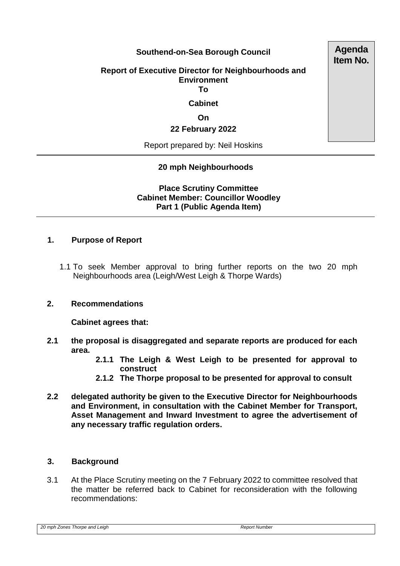## **Southend-on-Sea Borough Council**

#### **Report of Executive Director for Neighbourhoods and Environment To**

# **Cabinet**

**On**

#### **22 February 2022**

Report prepared by: Neil Hoskins

## **20 mph Neighbourhoods**

**Place Scrutiny Committee Cabinet Member: Councillor Woodley Part 1 (Public Agenda Item)** 

#### **1. Purpose of Report**

1.1 To seek Member approval to bring further reports on the two 20 mph Neighbourhoods area (Leigh/West Leigh & Thorpe Wards)

### **2. Recommendations**

**Cabinet agrees that:**

- **2.1 the proposal is disaggregated and separate reports are produced for each area.** 
	- **2.1.1 The Leigh & West Leigh to be presented for approval to construct**
	- **2.1.2 The Thorpe proposal to be presented for approval to consult**
- **2.2 delegated authority be given to the Executive Director for Neighbourhoods and Environment, in consultation with the Cabinet Member for Transport, Asset Management and Inward Investment to agree the advertisement of any necessary traffic regulation orders.**

### **3. Background**

3.1 At the Place Scrutiny meeting on the 7 February 2022 to committee resolved that the matter be referred back to Cabinet for reconsideration with the following recommendations:

*20 mph Zones Thorpe and Leigh Report Number*

**Agenda Item No.**